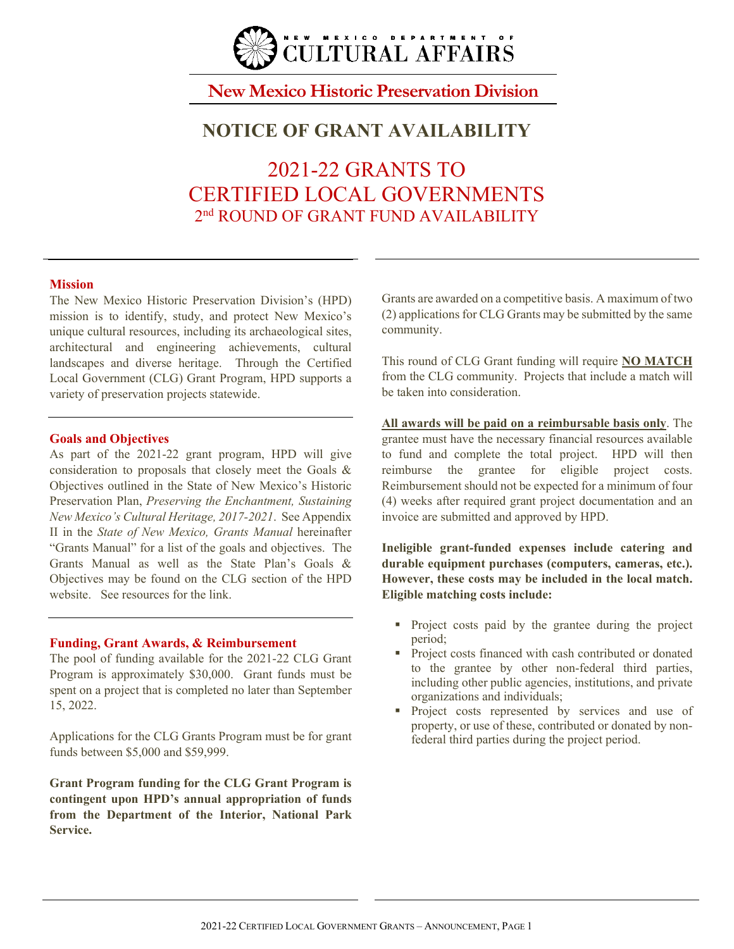

## **New Mexico Historic Preservation Division**

## **NOTICE OF GRANT AVAILABILITY**

2021-22 GRANTS TO CERTIFIED LOCAL GOVERNMENTS 2<sup>nd</sup> ROUND OF GRANT FUND AVAILABILITY

### **Mission**

The New Mexico Historic Preservation Division's (HPD) mission is to identify, study, and protect New Mexico's unique cultural resources, including its archaeological sites, architectural and engineering achievements, cultural landscapes and diverse heritage. Through the Certified Local Government (CLG) Grant Program, HPD supports a variety of preservation projects statewide.

### **Goals and Objectives**

As part of the 2021-22 grant program, HPD will give consideration to proposals that closely meet the Goals & Objectives outlined in the State of New Mexico's Historic Preservation Plan, *Preserving the Enchantment, Sustaining New Mexico's Cultural Heritage, 2017-2021*. See Appendix II in the *State of New Mexico, Grants Manual* hereinafter "Grants Manual" for a list of the goals and objectives. The Grants Manual as well as the State Plan's Goals & Objectives may be found on the CLG section of the HPD website. See resources for the link.

### **Funding, Grant Awards, & Reimbursement**

The pool of funding available for the 2021-22 CLG Grant Program is approximately \$30,000. Grant funds must be spent on a project that is completed no later than September 15, 2022.

Applications for the CLG Grants Program must be for grant funds between \$5,000 and \$59,999.

**Grant Program funding for the CLG Grant Program is contingent upon HPD's annual appropriation of funds from the Department of the Interior, National Park Service.** 

Grants are awarded on a competitive basis. A maximum of two (2) applications for CLG Grants may be submitted by the same community.

This round of CLG Grant funding will require **NO MATCH** from the CLG community. Projects that include a match will be taken into consideration.

**All awards will be paid on a reimbursable basis only**. The grantee must have the necessary financial resources available to fund and complete the total project. HPD will then reimburse the grantee for eligible project costs. Reimbursement should not be expected for a minimum of four (4) weeks after required grant project documentation and an invoice are submitted and approved by HPD.

**Ineligible grant-funded expenses include catering and durable equipment purchases (computers, cameras, etc.). However, these costs may be included in the local match. Eligible matching costs include:** 

- Project costs paid by the grantee during the project period;
- Project costs financed with cash contributed or donated to the grantee by other non-federal third parties, including other public agencies, institutions, and private organizations and individuals;
- **Project** costs represented by services and use of property, or use of these, contributed or donated by nonfederal third parties during the project period.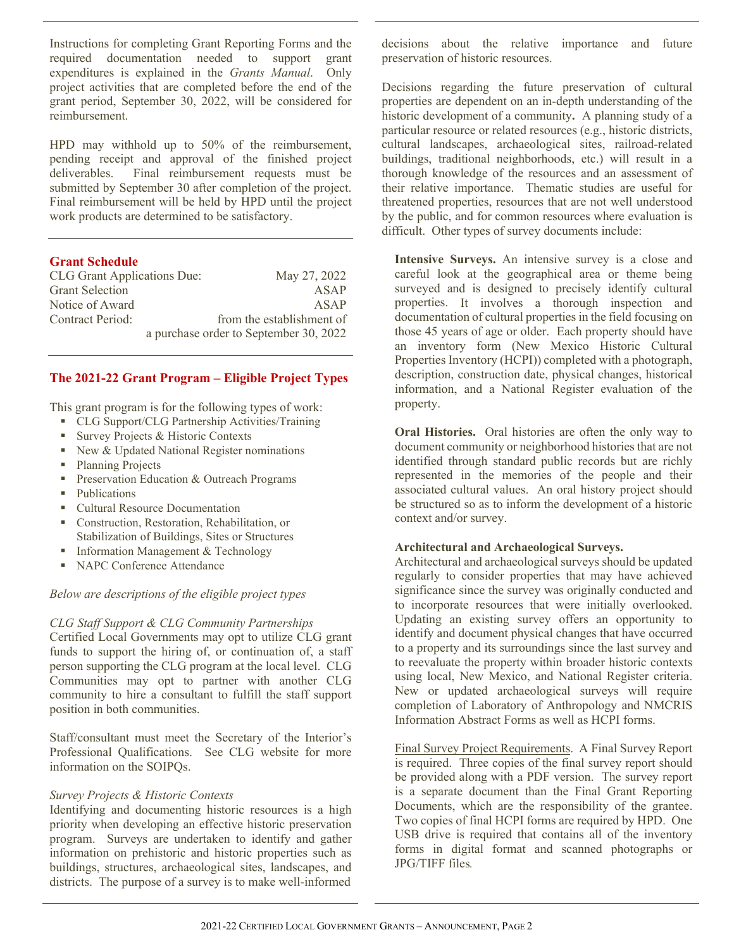Instructions for completing Grant Reporting Forms and the required documentation needed to support grant expenditures is explained in the *Grants Manual*. Only project activities that are completed before the end of the grant period, September 30, 2022, will be considered for reimbursement.

HPD may withhold up to 50% of the reimbursement, pending receipt and approval of the finished project deliverables. Final reimbursement requests must be Final reimbursement requests must be submitted by September 30 after completion of the project. Final reimbursement will be held by HPD until the project work products are determined to be satisfactory.

### **Grant Schedule**

| <b>CLG Grant Applications Due:</b> |  | May 27, 2022                           |
|------------------------------------|--|----------------------------------------|
| <b>Grant Selection</b>             |  | ASAP                                   |
| Notice of Award                    |  | ASAP                                   |
| Contract Period:                   |  | from the establishment of              |
|                                    |  | a purchase order to September 30, 2022 |

### **The 2021-22 Grant Program – Eligible Project Types**

This grant program is for the following types of work:

- CLG Support/CLG Partnership Activities/Training
- Survey Projects & Historic Contexts
- New  $&$  Updated National Register nominations
- Planning Projects
- **Preservation Education & Outreach Programs**
- Publications
- Cultural Resource Documentation
- Construction, Restoration, Rehabilitation, or Stabilization of Buildings, Sites or Structures
- Information Management & Technology
- NAPC Conference Attendance

### *Below are descriptions of the eligible project types*

### *CLG Staff Support & CLG Community Partnerships*

Certified Local Governments may opt to utilize CLG grant funds to support the hiring of, or continuation of, a staff person supporting the CLG program at the local level. CLG Communities may opt to partner with another CLG community to hire a consultant to fulfill the staff support position in both communities.

Staff/consultant must meet the Secretary of the Interior's Professional Qualifications. See CLG website for more information on the SOIPQs.

### *Survey Projects & Historic Contexts*

Identifying and documenting historic resources is a high priority when developing an effective historic preservation program. Surveys are undertaken to identify and gather information on prehistoric and historic properties such as buildings, structures, archaeological sites, landscapes, and districts. The purpose of a survey is to make well-informed

decisions about the relative importance and future preservation of historic resources.

Decisions regarding the future preservation of cultural properties are dependent on an in-depth understanding of the historic development of a community**.** A planning study of a particular resource or related resources (e.g., historic districts, cultural landscapes, archaeological sites, railroad-related buildings, traditional neighborhoods, etc.) will result in a thorough knowledge of the resources and an assessment of their relative importance. Thematic studies are useful for threatened properties, resources that are not well understood by the public, and for common resources where evaluation is difficult. Other types of survey documents include:

**Intensive Surveys.** An intensive survey is a close and careful look at the geographical area or theme being surveyed and is designed to precisely identify cultural properties. It involves a thorough inspection and documentation of cultural properties in the field focusing on those 45 years of age or older. Each property should have an inventory form (New Mexico Historic Cultural Properties Inventory (HCPI)) completed with a photograph, description, construction date, physical changes, historical information, and a National Register evaluation of the property.

**Oral Histories.** Oral histories are often the only way to document community or neighborhood histories that are not identified through standard public records but are richly represented in the memories of the people and their associated cultural values. An oral history project should be structured so as to inform the development of a historic context and/or survey.

### **Architectural and Archaeological Surveys.**

Architectural and archaeological surveys should be updated regularly to consider properties that may have achieved significance since the survey was originally conducted and to incorporate resources that were initially overlooked. Updating an existing survey offers an opportunity to identify and document physical changes that have occurred to a property and its surroundings since the last survey and to reevaluate the property within broader historic contexts using local, New Mexico, and National Register criteria. New or updated archaeological surveys will require completion of Laboratory of Anthropology and NMCRIS Information Abstract Forms as well as HCPI forms.

Final Survey Project Requirements.A Final Survey Report is required. Three copies of the final survey report should be provided along with a PDF version. The survey report is a separate document than the Final Grant Reporting Documents, which are the responsibility of the grantee. Two copies of final HCPI forms are required by HPD. One USB drive is required that contains all of the inventory forms in digital format and scanned photographs or JPG/TIFF files*.*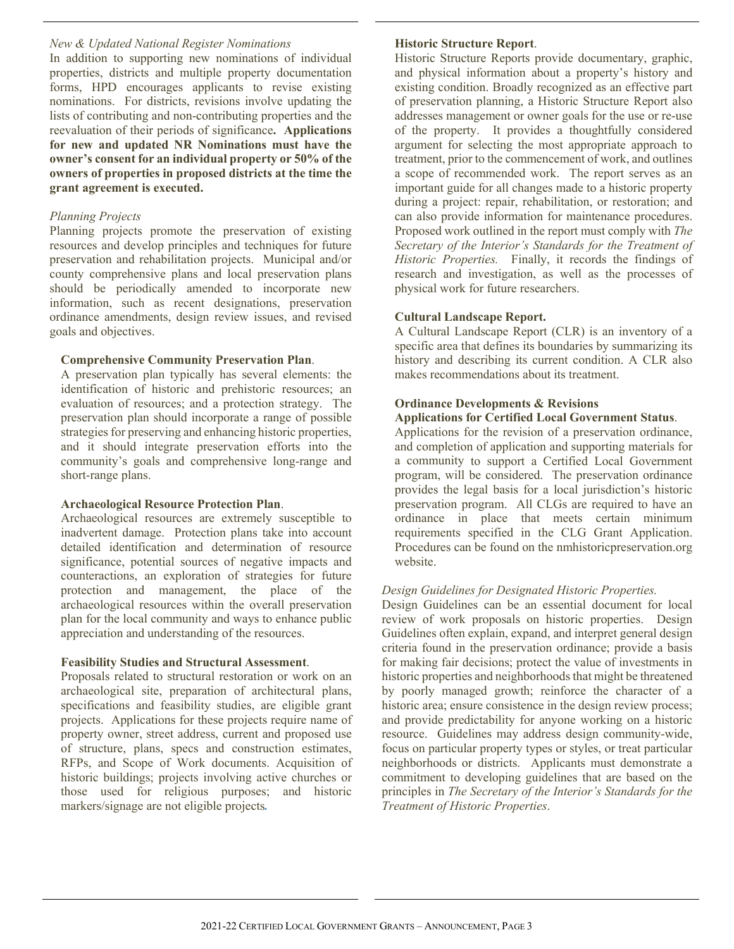### *New & Updated National Register Nominations*

In addition to supporting new nominations of individual properties, districts and multiple property documentation forms, HPD encourages applicants to revise existing nominations. For districts, revisions involve updating the lists of contributing and non-contributing properties and the reevaluation of their periods of significance**. Applications for new and updated NR Nominations must have the owner's consent for an individual property or 50% of the owners of properties in proposed districts at the time the grant agreement is executed.** 

### *Planning Projects*

Planning projects promote the preservation of existing resources and develop principles and techniques for future preservation and rehabilitation projects. Municipal and/or county comprehensive plans and local preservation plans should be periodically amended to incorporate new information, such as recent designations, preservation ordinance amendments, design review issues, and revised goals and objectives.

### **Comprehensive Community Preservation Plan**.

A preservation plan typically has several elements: the identification of historic and prehistoric resources; an evaluation of resources; and a protection strategy. The preservation plan should incorporate a range of possible strategies for preserving and enhancing historic properties, and it should integrate preservation efforts into the community's goals and comprehensive long-range and short-range plans.

### **Archaeological Resource Protection Plan**.

Archaeological resources are extremely susceptible to inadvertent damage. Protection plans take into account detailed identification and determination of resource significance, potential sources of negative impacts and counteractions, an exploration of strategies for future protection and management, the place of the archaeological resources within the overall preservation plan for the local community and ways to enhance public appreciation and understanding of the resources.

### **Feasibility Studies and Structural Assessment**.

Proposals related to structural restoration or work on an archaeological site, preparation of architectural plans, specifications and feasibility studies, are eligible grant projects. Applications for these projects require name of property owner, street address, current and proposed use of structure, plans, specs and construction estimates, RFPs, and Scope of Work documents. Acquisition of historic buildings; projects involving active churches or those used for religious purposes; and historic markers/signage are not eligible projects*.*

### **Historic Structure Report**.

Historic Structure Reports provide documentary, graphic, and physical information about a property's history and existing condition. Broadly recognized as an effective part of preservation planning, a Historic Structure Report also addresses management or owner goals for the use or re-use of the property. It provides a thoughtfully considered argument for selecting the most appropriate approach to treatment, prior to the commencement of work, and outlines a scope of recommended work. The report serves as an important guide for all changes made to a historic property during a project: repair, rehabilitation, or restoration; and can also provide information for maintenance procedures. Proposed work outlined in the report must comply with *The Secretary of the Interior's Standards for the Treatment of Historic Properties.* Finally, it records the findings of research and investigation, as well as the processes of physical work for future researchers.

### **Cultural Landscape Report.**

A Cultural Landscape Report (CLR) is an inventory of a specific area that defines its boundaries by summarizing its history and describing its current condition. A CLR also makes recommendations about its treatment.

# **Ordinance Developments & Revisions**

### **Applications for Certified Local Government Status**.

Applications for the revision of a preservation ordinance, and completion of application and supporting materials for a community to support a Certified Local Government program, will be considered. The preservation ordinance provides the legal basis for a local jurisdiction's historic preservation program. All CLGs are required to have an ordinance in place that meets certain minimum requirements specified in the CLG Grant Application. Procedures can be found on the nmhistoricpreservation.org website.

### *Design Guidelines for Designated Historic Properties.*

Design Guidelines can be an essential document for local review of work proposals on historic properties. Design Guidelines often explain, expand, and interpret general design criteria found in the preservation ordinance; provide a basis for making fair decisions; protect the value of investments in historic properties and neighborhoods that might be threatened by poorly managed growth; reinforce the character of a historic area; ensure consistence in the design review process; and provide predictability for anyone working on a historic resource. Guidelines may address design community-wide, focus on particular property types or styles, or treat particular neighborhoods or districts. Applicants must demonstrate a commitment to developing guidelines that are based on the principles in *The Secretary of the Interior's Standards for the Treatment of Historic Properties*.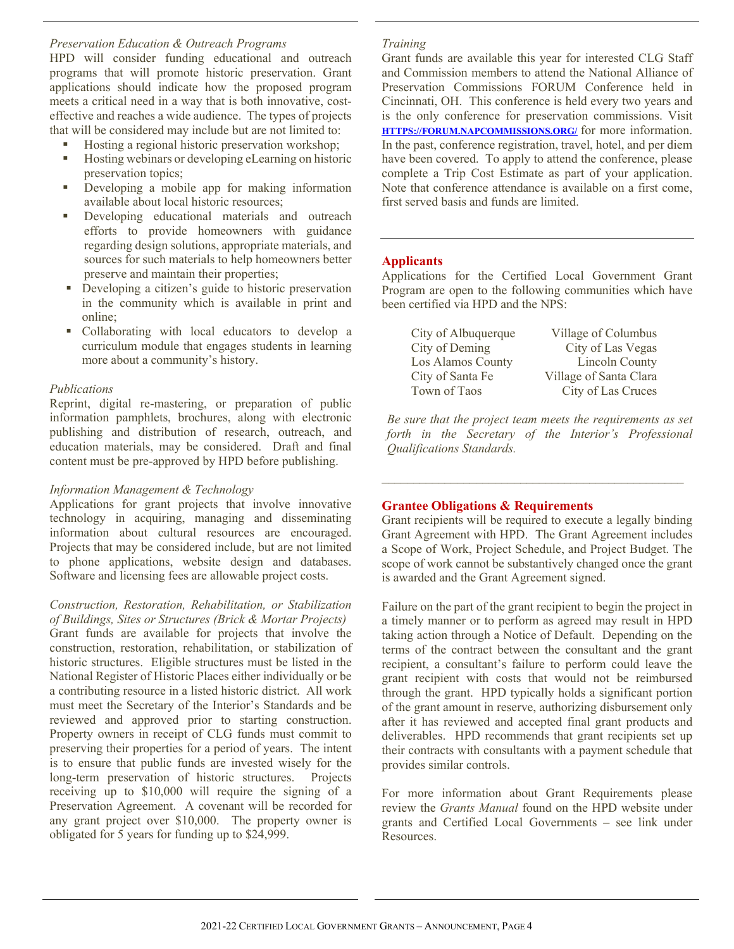### *Preservation Education & Outreach Programs*

HPD will consider funding educational and outreach programs that will promote historic preservation. Grant applications should indicate how the proposed program meets a critical need in a way that is both innovative, costeffective and reaches a wide audience. The types of projects that will be considered may include but are not limited to:

- Hosting a regional historic preservation workshop;
- Hosting webinars or developing eLearning on historic preservation topics;
- Developing a mobile app for making information available about local historic resources;
- Developing educational materials and outreach efforts to provide homeowners with guidance regarding design solutions, appropriate materials, and sources for such materials to help homeowners better preserve and maintain their properties;
- Developing a citizen's guide to historic preservation in the community which is available in print and online;
- Collaborating with local educators to develop a curriculum module that engages students in learning more about a community's history.

### *Publications*

Reprint, digital re-mastering, or preparation of public information pamphlets, brochures, along with electronic publishing and distribution of research, outreach, and education materials, may be considered. Draft and final content must be pre-approved by HPD before publishing.

### *Information Management & Technology*

Applications for grant projects that involve innovative technology in acquiring, managing and disseminating information about cultural resources are encouraged. Projects that may be considered include, but are not limited to phone applications, website design and databases. Software and licensing fees are allowable project costs.

*Construction, Restoration, Rehabilitation, or Stabilization of Buildings, Sites or Structures (Brick & Mortar Projects)* Grant funds are available for projects that involve the construction, restoration, rehabilitation, or stabilization of historic structures. Eligible structures must be listed in the National Register of Historic Places either individually or be a contributing resource in a listed historic district. All work must meet the Secretary of the Interior's Standards and be reviewed and approved prior to starting construction. Property owners in receipt of CLG funds must commit to preserving their properties for a period of years. The intent is to ensure that public funds are invested wisely for the long-term preservation of historic structures. Projects receiving up to \$10,000 will require the signing of a Preservation Agreement. A covenant will be recorded for any grant project over \$10,000. The property owner is obligated for 5 years for funding up to \$24,999.

### *Training*

Grant funds are available this year for interested CLG Staff and Commission members to attend the National Alliance of Preservation Commissions FORUM Conference held in Cincinnati, OH. This conference is held every two years and is the only conference for preservation commissions. Visit **[HTTPS://FORUM.NAPCOMMISSIONS.ORG/](https://forum.napcommissions.org/)** for more information. In the past, conference registration, travel, hotel, and per diem have been covered. To apply to attend the conference, please complete a Trip Cost Estimate as part of your application. Note that conference attendance is available on a first come, first served basis and funds are limited.

### **Applicants**

Applications for the Certified Local Government Grant Program are open to the following communities which have been certified via HPD and the NPS:

| City of Albuquerque      | Village of Columbus    |
|--------------------------|------------------------|
| City of Deming           | City of Las Vegas      |
| <b>Los Alamos County</b> | <b>Lincoln County</b>  |
| City of Santa Fe         | Village of Santa Clara |
| Town of Taos             | City of Las Cruces     |

*Be sure that the project team meets the requirements as set forth in the Secretary of the Interior's Professional Qualifications Standards.*

*\_\_\_\_\_\_\_\_\_\_\_\_\_\_\_\_\_\_\_\_\_\_\_\_\_\_\_\_\_\_\_\_\_\_\_\_\_\_\_\_\_\_\_\_\_\_\_\_*

### **Grantee Obligations & Requirements**

Grant recipients will be required to execute a legally binding Grant Agreement with HPD. The Grant Agreement includes a Scope of Work, Project Schedule, and Project Budget. The scope of work cannot be substantively changed once the grant is awarded and the Grant Agreement signed.

Failure on the part of the grant recipient to begin the project in a timely manner or to perform as agreed may result in HPD taking action through a Notice of Default. Depending on the terms of the contract between the consultant and the grant recipient, a consultant's failure to perform could leave the grant recipient with costs that would not be reimbursed through the grant. HPD typically holds a significant portion of the grant amount in reserve, authorizing disbursement only after it has reviewed and accepted final grant products and deliverables. HPD recommends that grant recipients set up their contracts with consultants with a payment schedule that provides similar controls.

For more information about Grant Requirements please review the *Grants Manual* found on the HPD website under grants and Certified Local Governments – see link under Resources.